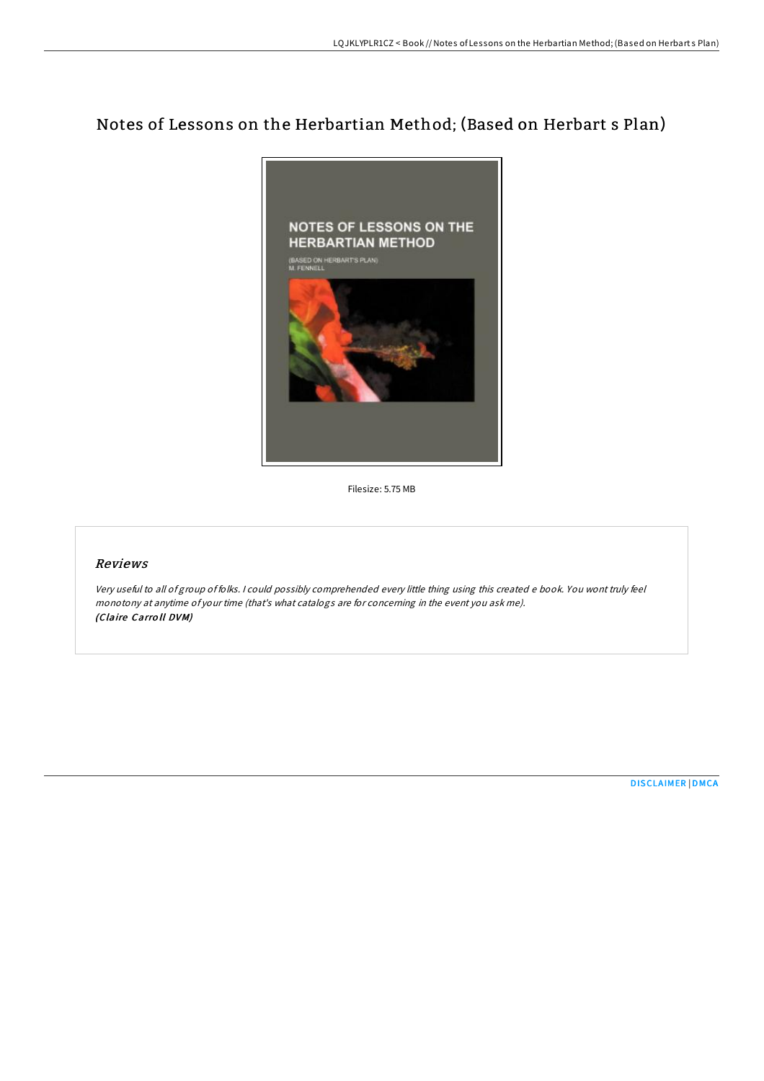# Notes of Lessons on the Herbartian Method; (Based on Herbart s Plan)



Filesize: 5.75 MB

## Reviews

Very useful to all of group of folks. <sup>I</sup> could possibly comprehended every little thing using this created <sup>e</sup> book. You wont truly feel monotony at anytime of your time (that's what catalogs are for concerning in the event you ask me). (Claire Carro ll DVM)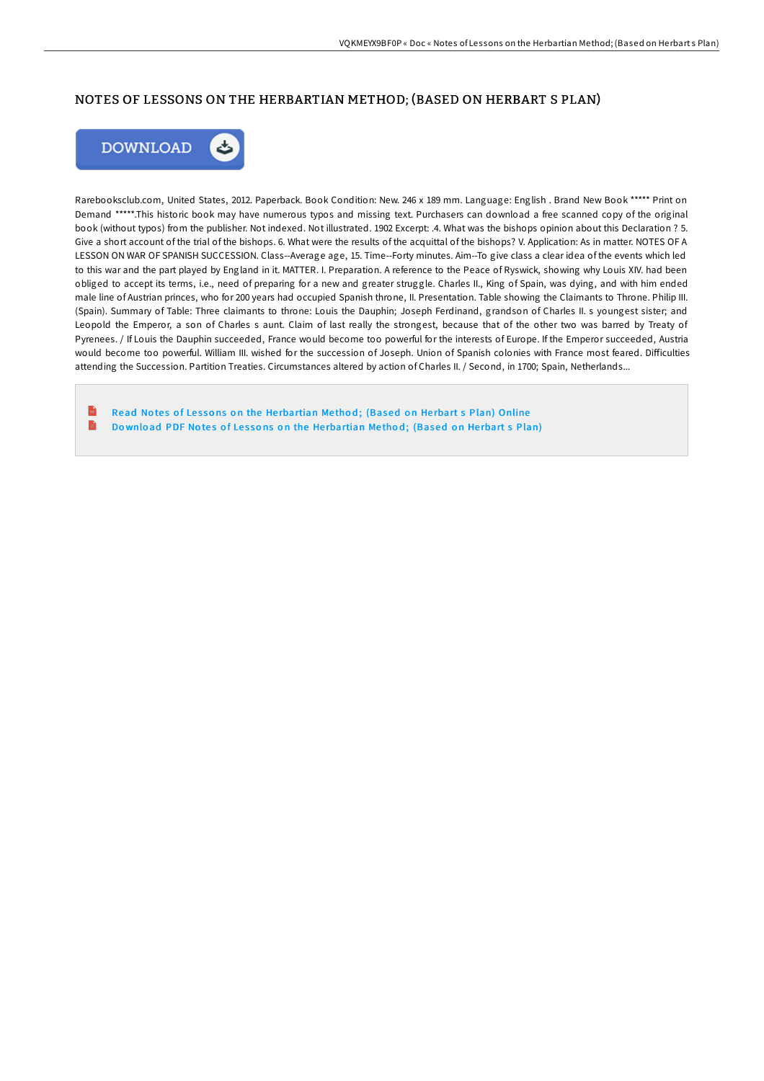### NOTES OF LESSONS ON THE HERBARTIAN METHOD; (BASED ON HERBART S PLAN)



Rarebooksclub.com, United States, 2012. Paperback. Book Condition: New. 246 x 189 mm. Language: English . Brand New Book \*\*\*\*\* Print on Demand \*\*\*\*\*.This historic book may have numerous typos and missing text. Purchasers can download a free scanned copy of the original book (without typos) from the publisher. Not indexed. Not illustrated. 1902 Excerpt: .4. What was the bishops opinion about this Declaration ? 5. Give a short account of the trial of the bishops. 6. What were the results of the acquittal of the bishops? V. Application: As in matter. NOTES OF A LESSON ON WAR OF SPANISH SUCCESSION. Class--Average age, 15. Time--Forty minutes. Aim--To give class a clear idea of the events which led to this war and the part played by England in it. MATTER. I. Preparation. A reference to the Peace of Ryswick, showing why Louis XIV. had been obliged to accept its terms, i.e., need of preparing for a new and greater struggle. Charles II., King of Spain, was dying, and with him ended male line of Austrian princes, who for 200 years had occupied Spanish throne, II. Presentation. Table showing the Claimants to Throne. Philip III. (Spain). Summary of Table: Three claimants to throne: Louis the Dauphin; Joseph Ferdinand, grandson of Charles II. s youngest sister; and Leopold the Emperor, a son of Charles s aunt. Claim of last really the strongest, because that of the other two was barred by Treaty of Pyrenees. / If Louis the Dauphin succeeded, France would become too powerful for the interests of Europe. If the Emperor succeeded, Austria would become too powerful. William III. wished for the succession of Joseph. Union of Spanish colonies with France most feared. Difficulties attending the Succession. Partition Treaties. Circumstances altered by action of Charles II. / Second, in 1700; Spain, Netherlands...

 $\mathbf{r}$ Read Notes of Lessons on the He[rbartian](http://almighty24.tech/notes-of-lessons-on-the-herbartian-method-based-.html) Method; (Based on Herbart s Plan) Online B Download PDF Notes of Lessons on the He[rbartian](http://almighty24.tech/notes-of-lessons-on-the-herbartian-method-based-.html) Method; (Based on Herbart s Plan)